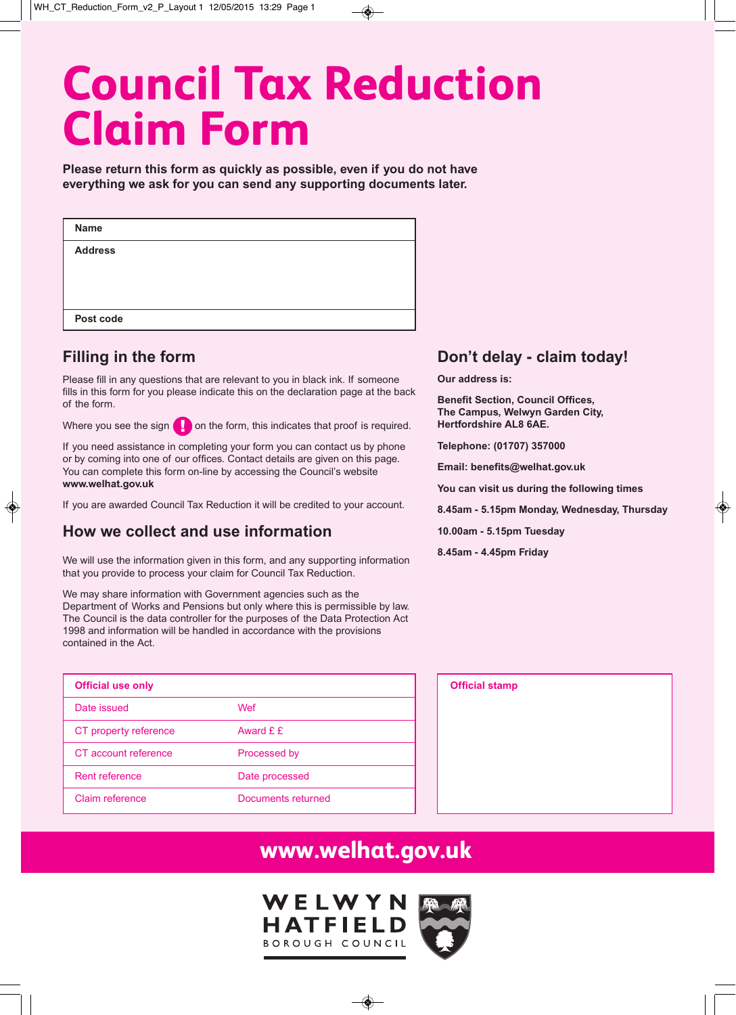# **Council Tax Reduction Claim Form**

**Please return this form as quickly as possible, even if you do not have everything we ask for you can send any supporting documents later.**

| <b>Name</b>    |  |
|----------------|--|
| <b>Address</b> |  |
|                |  |
|                |  |
| Post code      |  |

### **Filling in the form**

Please fill in any questions that are relevant to you in black ink. If someone fills in this form for you please indicate this on the declaration page at the back of the form.

Where you see the sign  $\Box$  on the form, this indicates that proof is required.

If you need assistance in completing your form you can contact us by phone or by coming into one of our offices. Contact details are given on this page. You can complete this form on-line by accessing the Council's website **www.welhat.gov.uk**

If you are awarded Council Tax Reduction it will be credited to your account.

### **How we collect and use information**

We will use the information given in this form, and any supporting information that you provide to process your claim for Council Tax Reduction.

We may share information with Government agencies such as the Department of Works and Pensions but only where this is permissible by law. The Council is the data controller for the purposes of the Data Protection Act 1998 and information will be handled in accordance with the provisions contained in the Act.

| <b>Official use only</b> |                    |
|--------------------------|--------------------|
| Date issued              | Wef                |
| CT property reference    | Award $f \dot{f}$  |
| CT account reference     | Processed by       |
| Rent reference           | Date processed     |
| Claim reference          | Documents returned |

### **Don't delay - claim today!**

**Our address is:**

**Benefit Section, Council Offices, The Campus, Welwyn Garden City, Hertfordshire AL8 6AE.**

**Telephone: (01707) 357000**

**Email: benefits@welhat.gov.uk**

**You can visit us during the following times**

**8.45am - 5.15pm Monday, Wednesday, Thursday**

**10.00am - 5.15pm Tuesday**

**8.45am - 4.45pm Friday**

| <b>Official stamp</b> |  |  |
|-----------------------|--|--|
|                       |  |  |
|                       |  |  |
|                       |  |  |
|                       |  |  |
|                       |  |  |
|                       |  |  |
|                       |  |  |
|                       |  |  |
|                       |  |  |
|                       |  |  |

### **www.welhat.gov.uk**

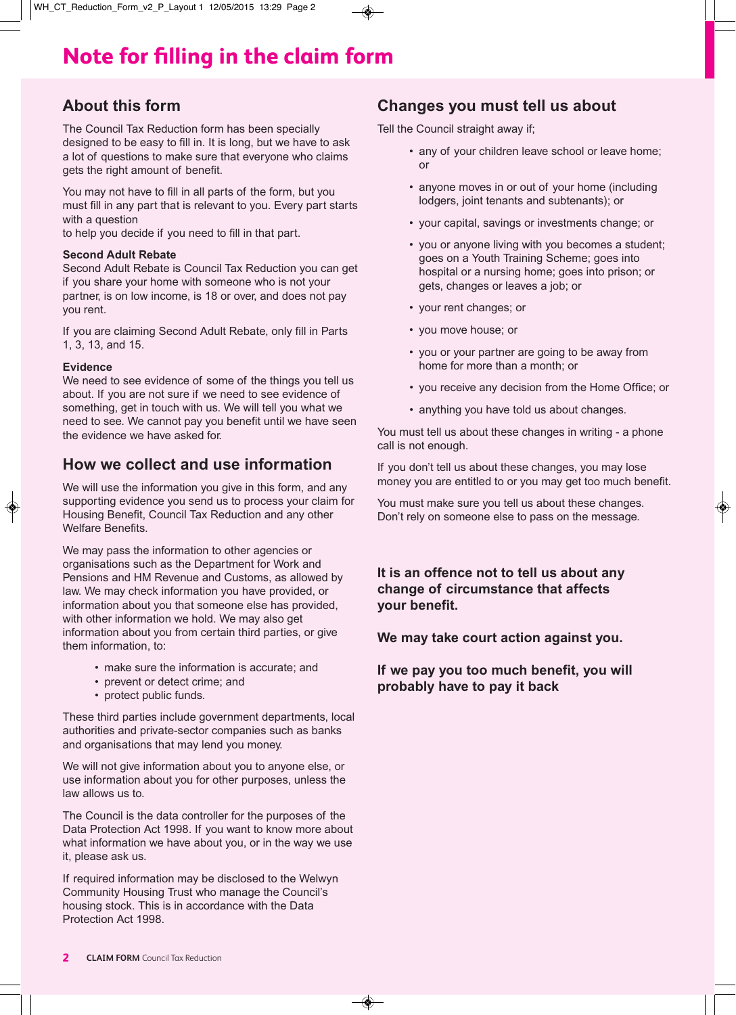# **Note for filling in the claim form**

### **About this form**

The Council Tax Reduction form has been specially designed to be easy to fill in. It is long, but we have to ask a lot of questions to make sure that everyone who claims gets the right amount of benefit.

You may not have to fill in all parts of the form, but you must fill in any part that is relevant to you. Every part starts with a question

to help you decide if you need to fill in that part.

#### **Second Adult Rebate**

Second Adult Rebate is Council Tax Reduction you can get if you share your home with someone who is not your partner, is on low income, is 18 or over, and does not pay you rent.

If you are claiming Second Adult Rebate, only fill in Parts 1, 3, 13, and 15.

#### **Evidence**

We need to see evidence of some of the things you tell us about. If you are not sure if we need to see evidence of something, get in touch with us. We will tell you what we need to see. We cannot pay you benefit until we have seen the evidence we have asked for.

### **How we collect and use information**

We will use the information you give in this form, and any supporting evidence you send us to process your claim for Housing Benefit, Council Tax Reduction and any other Welfare Benefits.

We may pass the information to other agencies or organisations such as the Department for Work and Pensions and HM Revenue and Customs, as allowed by law. We may check information you have provided, or information about you that someone else has provided, with other information we hold. We may also get information about you from certain third parties, or give them information, to:

- make sure the information is accurate; and
- prevent or detect crime; and
- protect public funds.

These third parties include government departments, local authorities and private-sector companies such as banks and organisations that may lend you money.

We will not give information about you to anyone else, or use information about you for other purposes, unless the law allows us to.

The Council is the data controller for the purposes of the Data Protection Act 1998. If you want to know more about what information we have about you, or in the way we use it, please ask us.

If required information may be disclosed to the Welwyn Community Housing Trust who manage the Council's housing stock. This is in accordance with the Data Protection Act 1998.

### **Changes you must tell us about**

Tell the Council straight away if;

- any of your children leave school or leave home; or
- anyone moves in or out of your home (including lodgers, joint tenants and subtenants); or
- your capital, savings or investments change; or
- you or anyone living with you becomes a student; goes on a Youth Training Scheme; goes into hospital or a nursing home; goes into prison; or gets, changes or leaves a job; or
- your rent changes; or
- you move house; or
- you or your partner are going to be away from home for more than a month; or
- you receive any decision from the Home Office; or
- anything you have told us about changes.

You must tell us about these changes in writing - a phone call is not enough.

If you don't tell us about these changes, you may lose money you are entitled to or you may get too much benefit.

You must make sure you tell us about these changes. Don't rely on someone else to pass on the message.

### **It is an offence not to tell us about any change of circumstance that affects your benefit.**

**We may take court action against you.**

**If we pay you too much benefit, you will probably have to pay it back**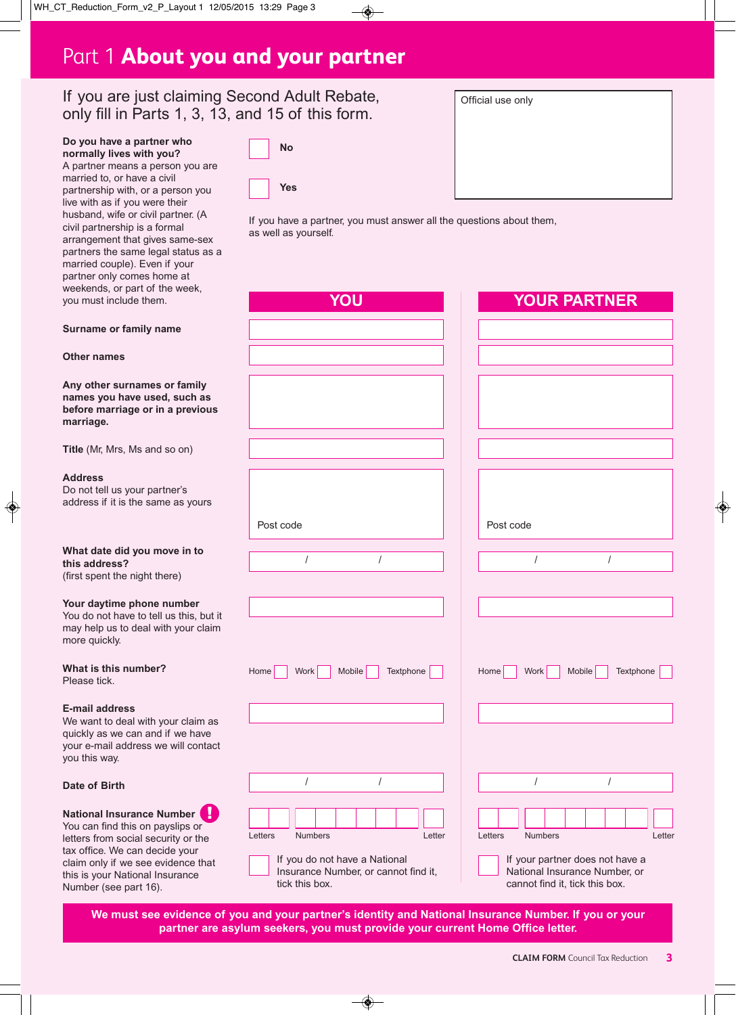### Part 1 **About you and your partner**

**No**

**Yes**

### If you are just claiming Second Adult Rebate, only fill in Parts 1, 3, 13, and 15 of this form.

| Do you have a partner who |  |  |
|---------------------------|--|--|
| normally lives with you?  |  |  |

A partner means a person you are married to, or have a civil partnership with, or a person you live with as if you were their husband, wife or civil partner. (A civil partnership is a formal arrangement that gives same-sex partners the same legal status as a married couple). Even if your partner only comes home at weekends, or pa you must include

| Official use only |  |  |
|-------------------|--|--|
|                   |  |  |
|                   |  |  |
|                   |  |  |
|                   |  |  |
|                   |  |  |
|                   |  |  |
|                   |  |  |
|                   |  |  |

If you have a partner, you must answer all the questions about them, as well as yourself.

| rt of the week,<br>e them.                                           | YOU                                                                                     | <b>YOUR PARTNER</b>                                                                                |
|----------------------------------------------------------------------|-----------------------------------------------------------------------------------------|----------------------------------------------------------------------------------------------------|
| nily name                                                            |                                                                                         |                                                                                                    |
|                                                                      |                                                                                         |                                                                                                    |
|                                                                      |                                                                                         |                                                                                                    |
| ames or family<br>e used, such as<br>e or in a previous              |                                                                                         |                                                                                                    |
| s and so on)                                                         |                                                                                         |                                                                                                    |
| ur partner's<br>e same as yours                                      |                                                                                         |                                                                                                    |
|                                                                      | Post code                                                                               | Post code                                                                                          |
| ou move in to                                                        | $\prime$<br>$\prime$                                                                    | $\prime$<br>$\prime$                                                                               |
| ight there)                                                          |                                                                                         |                                                                                                    |
| hone number<br>to tell us this, but it<br>leal with your claim       |                                                                                         |                                                                                                    |
| mber?                                                                | Home<br>Textphone<br>Work<br>Mobile                                                     | Textphone<br>Home<br>Work<br><b>Mobile</b>                                                         |
| with your claim as<br>n and if we have<br>ess we will contact        |                                                                                         |                                                                                                    |
|                                                                      | $\prime$                                                                                |                                                                                                    |
| nce Number<br>on payslips or<br>al security or the<br>in decide your | Letters<br><b>Numbers</b><br>Letter                                                     | Letters<br>Numbers<br>Letter                                                                       |
| see evidence that<br>onal Insurance<br>rt 16).                       | If you do not have a National<br>Insurance Number, or cannot find it,<br>tick this box. | If your partner does not have a<br>National Insurance Number, or<br>cannot find it, tick this box. |

We must see evidence of you and your partner's identity and National Insurance Number. If you or your **partner are asylum seekers, you must provide your current Home Office letter.**

#### **Surname** or fam

**Other names**

**Any other surnally**  $n$  **ames** you have **before marriage or in a previous marriage.**

**Title** (Mr, Mrs, M

#### **Address**

Do not tell us you address if it is the

#### **What** date did **y this address?** (first spent the ni

#### **Your** daytime pl

You do not have may help us to d more quickly.

#### **What** is this number Please tick.

#### **E-mail address**

We want to deal quickly as we ca your e-mail addr you this way.

#### **Date of Birth**

**National Insural** You can find this letters from social tax office. We ca claim only if we this is your Natio Number (see part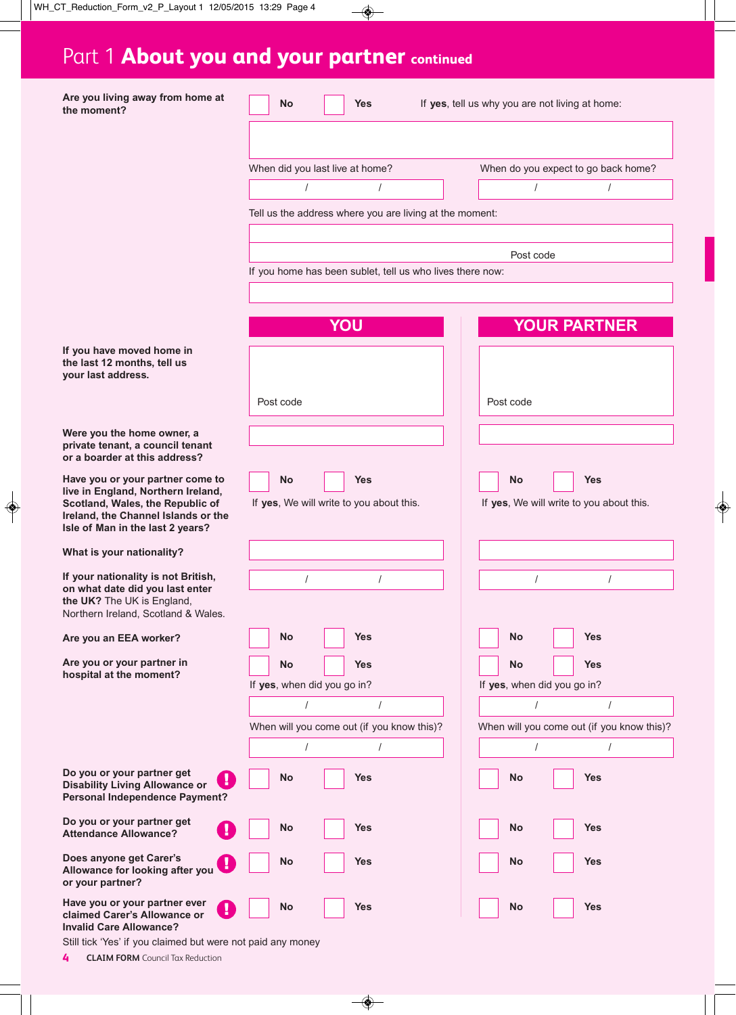# Part 1 **About you and your partner continued**

| Are you living away from home at<br>the moment?                                                                                                                | <b>Yes</b><br>No                                          | If yes, tell us why you are not living at home:        |
|----------------------------------------------------------------------------------------------------------------------------------------------------------------|-----------------------------------------------------------|--------------------------------------------------------|
|                                                                                                                                                                |                                                           |                                                        |
|                                                                                                                                                                | When did you last live at home?                           | When do you expect to go back home?                    |
|                                                                                                                                                                | $\prime$                                                  |                                                        |
|                                                                                                                                                                | Tell us the address where you are living at the moment:   |                                                        |
|                                                                                                                                                                |                                                           |                                                        |
|                                                                                                                                                                | If you home has been sublet, tell us who lives there now: | Post code                                              |
|                                                                                                                                                                |                                                           |                                                        |
|                                                                                                                                                                | YOU                                                       | <b>YOUR PARTNER</b>                                    |
| If you have moved home in<br>the last 12 months, tell us<br>your last address.                                                                                 |                                                           |                                                        |
|                                                                                                                                                                | Post code                                                 | Post code                                              |
| Were you the home owner, a<br>private tenant, a council tenant<br>or a boarder at this address?                                                                |                                                           |                                                        |
| Have you or your partner come to                                                                                                                               | <b>No</b><br><b>Yes</b>                                   | <b>Yes</b><br><b>No</b>                                |
| live in England, Northern Ireland,<br>Scotland, Wales, the Republic of<br>Ireland, the Channel Islands or the<br>Isle of Man in the last 2 years?              | If yes, We will write to you about this.                  | If yes, We will write to you about this.               |
| What is your nationality?                                                                                                                                      |                                                           |                                                        |
| If your nationality is not British,<br>on what date did you last enter<br>the UK? The UK is England,<br>Northern Ireland, Scotland & Wales.                    | $\prime$<br>$\prime$                                      | $\prime$<br>$\prime$                                   |
| Are you an EEA worker?                                                                                                                                         | <b>Yes</b><br>No                                          | <b>Yes</b><br>No                                       |
| Are you or your partner in<br>hospital at the moment?                                                                                                          | <b>Yes</b><br>No                                          | <b>Yes</b><br>No                                       |
|                                                                                                                                                                | If yes, when did you go in?                               | If yes, when did you go in?                            |
|                                                                                                                                                                | $\sqrt{2}$<br>When will you come out (if you know this)?  | $\prime$<br>When will you come out (if you know this)? |
|                                                                                                                                                                | $\sqrt{2}$<br>$\sqrt{2}$                                  | $\sqrt{2}$<br>$\sqrt{2}$                               |
| Do you or your partner get<br>ı<br><b>Disability Living Allowance or</b><br><b>Personal Independence Payment?</b>                                              | <b>Yes</b><br><b>No</b>                                   | <b>Yes</b><br>No                                       |
| Do you or your partner get<br><b>Attendance Allowance?</b>                                                                                                     | <b>Yes</b><br>No                                          | <b>Yes</b><br>No                                       |
| Does anyone get Carer's<br>Allowance for looking after you<br>or your partner?                                                                                 | <b>Yes</b><br><b>No</b>                                   | <b>Yes</b><br>No                                       |
| Have you or your partner ever<br>claimed Carer's Allowance or<br><b>Invalid Care Allowance?</b><br>Still tick 'Yes' if you claimed but were not paid any money | <b>Yes</b><br>No                                          | <b>Yes</b><br>No                                       |

**4 CLAIM FORM** Council Tax Reduction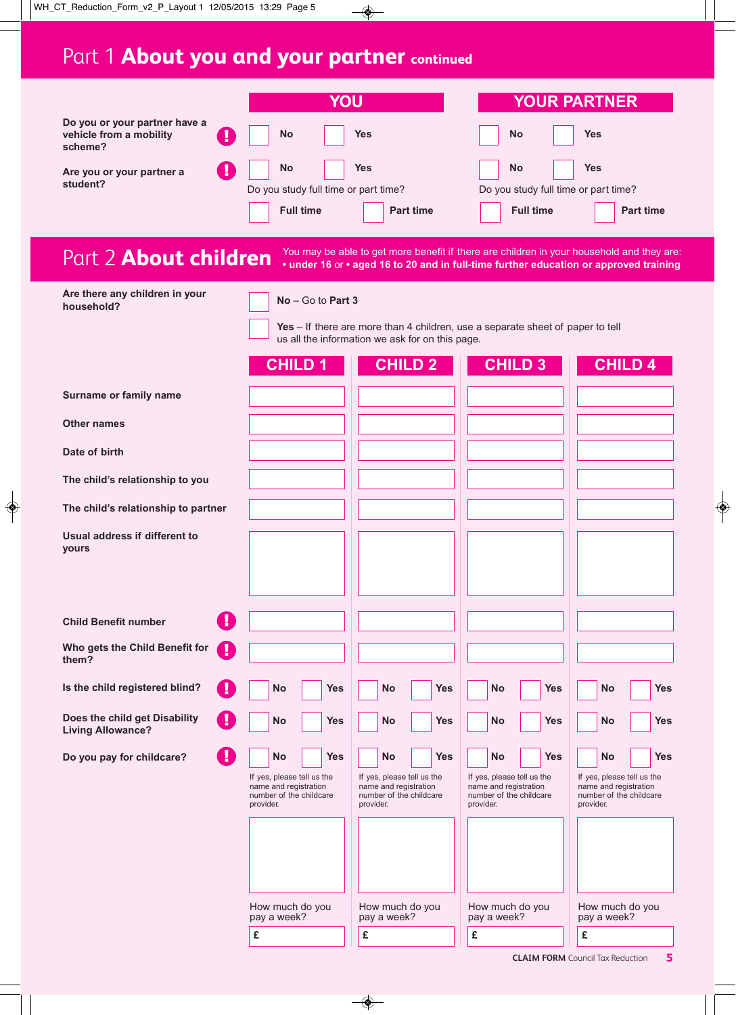# Part 1 **About you and your partner continued**

|                                                                     |                                                                                             | YOU                                                                                                                                                                                |                                                                                             | <b>YOUR PARTNER</b>                                                                         |
|---------------------------------------------------------------------|---------------------------------------------------------------------------------------------|------------------------------------------------------------------------------------------------------------------------------------------------------------------------------------|---------------------------------------------------------------------------------------------|---------------------------------------------------------------------------------------------|
| Do you or your partner have a<br>vehicle from a mobility<br>scheme? | <b>No</b>                                                                                   | <b>Yes</b>                                                                                                                                                                         | <b>No</b>                                                                                   | <b>Yes</b>                                                                                  |
| Are you or your partner a<br>student?                               | <b>No</b><br>Do you study full time or part time?<br><b>Full time</b>                       | <b>Yes</b><br><b>Part time</b>                                                                                                                                                     | <b>No</b><br>Do you study full time or part time?<br><b>Full time</b>                       | <b>Yes</b><br><b>Part time</b>                                                              |
| Part 2 About children                                               |                                                                                             | You may be able to get more benefit if there are children in your household and they are:<br>• under 16 or • aged 16 to 20 and in full-time further education or approved training |                                                                                             |                                                                                             |
| Are there any children in your<br>household?                        | $No - Go$ to Part 3                                                                         |                                                                                                                                                                                    |                                                                                             |                                                                                             |
|                                                                     |                                                                                             | Yes - If there are more than 4 children, use a separate sheet of paper to tell<br>us all the information we ask for on this page.                                                  |                                                                                             |                                                                                             |
|                                                                     | <b>CHILD 1</b>                                                                              | <b>CHILD 2</b>                                                                                                                                                                     | <b>CHILD 3</b>                                                                              | <b>CHILD 4</b>                                                                              |
| Surname or family name                                              |                                                                                             |                                                                                                                                                                                    |                                                                                             |                                                                                             |
| <b>Other names</b>                                                  |                                                                                             |                                                                                                                                                                                    |                                                                                             |                                                                                             |
| Date of birth                                                       |                                                                                             |                                                                                                                                                                                    |                                                                                             |                                                                                             |
| The child's relationship to you                                     |                                                                                             |                                                                                                                                                                                    |                                                                                             |                                                                                             |
| The child's relationship to partner                                 |                                                                                             |                                                                                                                                                                                    |                                                                                             |                                                                                             |
| Usual address if different to<br>yours                              |                                                                                             |                                                                                                                                                                                    |                                                                                             |                                                                                             |
| <b>Child Benefit number</b>                                         |                                                                                             |                                                                                                                                                                                    |                                                                                             |                                                                                             |
| Who gets the Child Benefit for<br>И<br>them?                        |                                                                                             |                                                                                                                                                                                    |                                                                                             |                                                                                             |
| Is the child registered blind?                                      | <b>Yes</b><br>No                                                                            | <b>No</b><br><b>Yes</b>                                                                                                                                                            | <b>Yes</b><br>No                                                                            | <b>No</b><br>Yes                                                                            |
| Does the child get Disability<br><b>Living Allowance?</b>           | <b>Yes</b><br>No                                                                            | <b>No</b><br><b>Yes</b>                                                                                                                                                            | <b>Yes</b><br>No                                                                            | <b>No</b><br><b>Yes</b>                                                                     |
| Do you pay for childcare?                                           | <b>No</b><br>Yes                                                                            | <b>No</b><br><b>Yes</b>                                                                                                                                                            | <b>Yes</b><br>No                                                                            | <b>No</b><br>Yes                                                                            |
|                                                                     | If yes, please tell us the<br>name and registration<br>number of the childcare<br>provider. | If yes, please tell us the<br>name and registration<br>number of the childcare<br>provider.                                                                                        | If yes, please tell us the<br>name and registration<br>number of the childcare<br>provider. | If yes, please tell us the<br>name and registration<br>number of the childcare<br>provider. |
|                                                                     | How much do you                                                                             | How much do you<br>pay a week?                                                                                                                                                     | How much do you                                                                             | How much do you<br>pay a week?                                                              |
|                                                                     | pay a week?<br>£                                                                            | £                                                                                                                                                                                  | pay a week?<br>£                                                                            | £                                                                                           |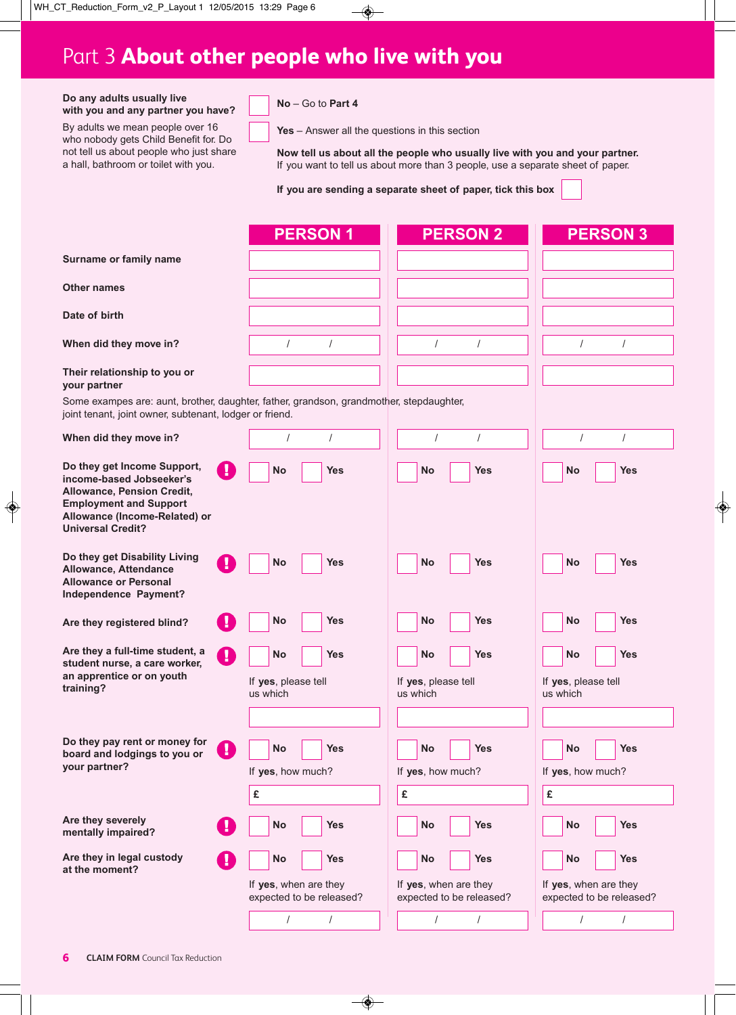## Part 3 **About other people who live with you**

#### **Do any adults usually live with you and any partner you have?**

By adults we mean people over 16 who nobody gets Child Benefit for. Do not tell us about people who just share a hall, bathroom or toilet with you.

**No** – Go to **Part 4**

**Yes** – Answer all the questions in this section

**Now tell us about all the people who usually live with you and your partner.** If you want to tell us about more than 3 people, use a separate sheet of paper.

**If you are sending a separate sheet of paper, tick this box**

|                                                                                                                                                                                            |    | <b>PERSON1</b>                                       | <b>PERSON 2</b>                                  | <b>PERSON 3</b>                                     |
|--------------------------------------------------------------------------------------------------------------------------------------------------------------------------------------------|----|------------------------------------------------------|--------------------------------------------------|-----------------------------------------------------|
| Surname or family name                                                                                                                                                                     |    |                                                      |                                                  |                                                     |
| <b>Other names</b>                                                                                                                                                                         |    |                                                      |                                                  |                                                     |
| Date of birth                                                                                                                                                                              |    |                                                      |                                                  |                                                     |
| When did they move in?                                                                                                                                                                     |    | $\prime$<br>$\prime$                                 | $\prime$<br>$\prime$                             | $\prime$<br>$\prime$                                |
| Their relationship to you or<br>your partner                                                                                                                                               |    |                                                      |                                                  |                                                     |
| Some exampes are: aunt, brother, daughter, father, grandson, grandmother, stepdaughter,<br>joint tenant, joint owner, subtenant, lodger or friend.                                         |    |                                                      |                                                  |                                                     |
| When did they move in?                                                                                                                                                                     |    | $\prime$<br>$\prime$                                 | $\prime$<br>$\overline{I}$                       | $\prime$<br>$\prime$                                |
| Do they get Income Support,<br>income-based Jobseeker's<br><b>Allowance, Pension Credit,</b><br><b>Employment and Support</b><br>Allowance (Income-Related) or<br><b>Universal Credit?</b> | Ţ  | <b>Yes</b><br><b>No</b>                              | <b>Yes</b><br><b>No</b>                          | <b>Yes</b><br><b>No</b>                             |
| Do they get Disability Living<br>Allowance, Attendance<br><b>Allowance or Personal</b><br>Independence Payment?                                                                            | П  | <b>No</b><br><b>Yes</b>                              | <b>Yes</b><br><b>No</b>                          | <b>Yes</b><br><b>No</b>                             |
| Are they registered blind?                                                                                                                                                                 |    | No<br>Yes                                            | <b>No</b><br>Yes                                 | <b>No</b><br><b>Yes</b>                             |
| Are they a full-time student, a<br>student nurse, a care worker,<br>an apprentice or on youth<br>training?                                                                                 | T) | No<br>Yes<br>If yes, please tell<br>us which         | Yes<br>No<br>If yes, please tell<br>us which     | <b>Yes</b><br>No<br>If yes, please tell<br>us which |
| Do they pay rent or money for<br>board and lodgings to you or<br>your partner?                                                                                                             |    | <b>No</b><br><b>Yes</b><br>If yes, how much?<br>£    | <b>No</b><br>Yes<br>If yes, how much?<br>£       | <b>No</b><br><b>Yes</b><br>If yes, how much?<br>£   |
| Are they severely<br>mentally impaired?                                                                                                                                                    | и  | <b>No</b><br><b>Yes</b>                              | <b>Yes</b><br><b>No</b>                          | <b>Yes</b><br>No                                    |
| Are they in legal custody<br>at the moment?                                                                                                                                                |    | <b>No</b><br><b>Yes</b><br>If yes, when are they     | <b>No</b><br><b>Yes</b><br>If yes, when are they | <b>Yes</b><br>No<br>If yes, when are they           |
|                                                                                                                                                                                            |    | expected to be released?<br>$\sqrt{ }$<br>$\sqrt{ }$ | expected to be released?<br>$\prime$<br>$\prime$ | expected to be released?<br>$\prime$<br>$\prime$    |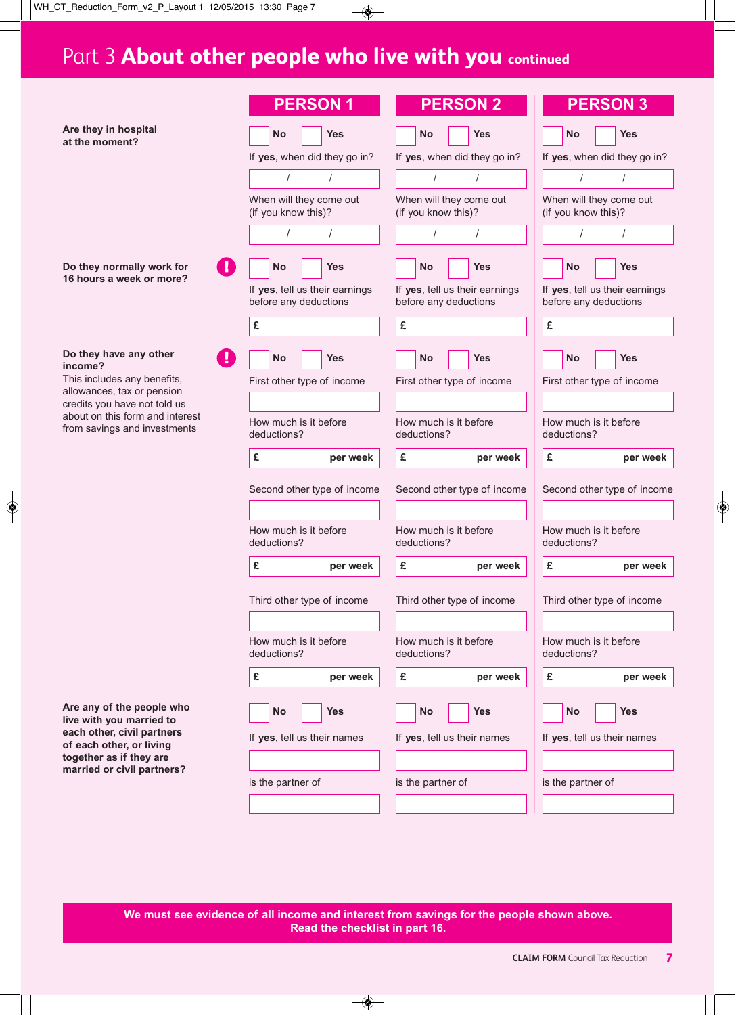# Part 3 **About other people who live with you continued**

|                                                                                                 | <b>PERSON1</b>                                          | <b>PERSON 2</b>                                         | <b>PERSON 3</b>                                         |
|-------------------------------------------------------------------------------------------------|---------------------------------------------------------|---------------------------------------------------------|---------------------------------------------------------|
| Are they in hospital<br>at the moment?                                                          | <b>Yes</b><br><b>No</b>                                 | <b>Yes</b><br><b>No</b>                                 | No<br><b>Yes</b>                                        |
|                                                                                                 | If yes, when did they go in?                            | If yes, when did they go in?                            | If yes, when did they go in?                            |
|                                                                                                 | $\prime$<br>$\prime$                                    | $\prime$<br>$\prime$                                    | $\prime$<br>$\prime$                                    |
|                                                                                                 | When will they come out<br>(if you know this)?          | When will they come out<br>(if you know this)?          | When will they come out<br>(if you know this)?          |
|                                                                                                 | $\prime$<br>$\prime$                                    |                                                         | $\prime$                                                |
| Do they normally work for<br>16 hours a week or more?                                           | <b>No</b><br><b>Yes</b>                                 | <b>No</b><br><b>Yes</b>                                 | <b>No</b><br><b>Yes</b>                                 |
|                                                                                                 | If yes, tell us their earnings<br>before any deductions | If yes, tell us their earnings<br>before any deductions | If yes, tell us their earnings<br>before any deductions |
|                                                                                                 | £                                                       | £                                                       | £                                                       |
| Do they have any other<br>income?                                                               | ÷.<br><b>Yes</b><br><b>No</b>                           | <b>No</b><br>Yes                                        | <b>Yes</b><br>No                                        |
| This includes any benefits,<br>allowances, tax or pension                                       | First other type of income                              | First other type of income                              | First other type of income                              |
| credits you have not told us<br>about on this form and interest<br>from savings and investments | How much is it before<br>deductions?                    | How much is it before<br>deductions?                    | How much is it before<br>deductions?                    |
|                                                                                                 | £<br>per week                                           | £<br>per week                                           | £<br>per week                                           |
|                                                                                                 | Second other type of income                             | Second other type of income                             | Second other type of income                             |
|                                                                                                 | How much is it before<br>deductions?                    | How much is it before<br>deductions?                    | How much is it before<br>deductions?                    |
|                                                                                                 | £<br>per week                                           | £<br>per week                                           | £<br>per week                                           |
|                                                                                                 | Third other type of income                              | Third other type of income                              | Third other type of income                              |
|                                                                                                 | How much is it before<br>deductions?                    | How much is it before<br>deductions?                    | How much is it before<br>deductions?                    |
|                                                                                                 | £<br>per week                                           | £<br>per week                                           | £<br>per week                                           |
| Are any of the people who<br>live with you married to                                           | <b>Yes</b><br><b>No</b>                                 | No<br><b>Yes</b>                                        | <b>Yes</b><br><b>No</b>                                 |
| each other, civil partners<br>of each other, or living                                          | If yes, tell us their names                             | If yes, tell us their names                             | If yes, tell us their names                             |
| together as if they are<br>married or civil partners?                                           |                                                         |                                                         |                                                         |
|                                                                                                 | is the partner of                                       | is the partner of                                       | is the partner of                                       |
|                                                                                                 |                                                         |                                                         |                                                         |

**We must see evidence of all income and interest from savings for the people shown above. Read the checklist in part 16.**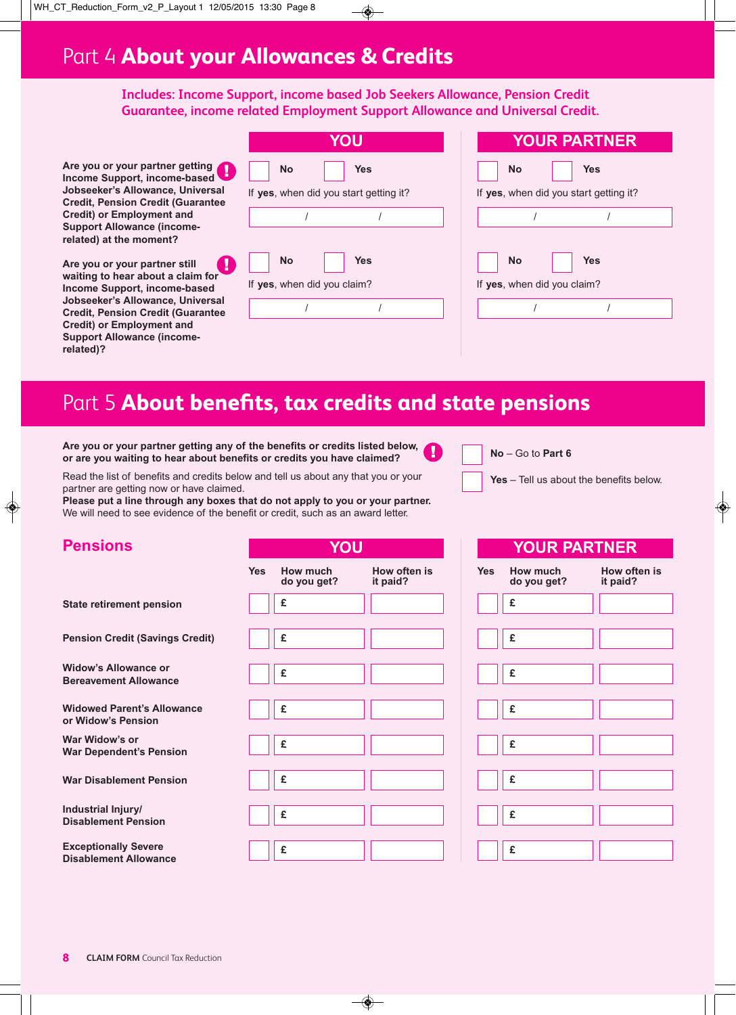### Part 4 **About your Allowances & Credits**

**Includes: Income Support, income based Job Seekers Allowance, Pension Credit Guarantee, income related Employment Support Allowance and Universal Credit.**

**Are you or your partner getting Income Support, income-based Jobseeker's Allowance, Universal Credit, Pension Credit (Guarantee Credit) or Employment and Support Allowance (incomerelated) at the moment?**

**Are you or your partner still waiting to hear about a claim for Income Support, income-based Jobseeker's Allowance, Universal Credit, Pension Credit (Guarantee Credit) or Employment and Support Allowance (incomerelated)?**

|                                          | YOU        |
|------------------------------------------|------------|
| <b>No</b>                                | <b>Yes</b> |
| If yes, when did you start getting it?   |            |
|                                          |            |
| <b>No</b><br>If yes, when did you claim? | <b>Yes</b> |
|                                          |            |
|                                          |            |

|                                          | <b>YOUR PARTNER</b>                    |
|------------------------------------------|----------------------------------------|
| <b>No</b>                                | Yes                                    |
|                                          | If yes, when did you start getting it? |
|                                          |                                        |
| <b>No</b><br>If yes, when did you claim? | Yes                                    |
|                                          |                                        |
|                                          |                                        |

### Part 5 **About benefits, tax credits and state pensions**

**Are you or your partner getting any of the benefits or credits listed below, or are you waiting to hear about benefits or credits you have claimed?**

Read the list of benefits and credits below and tell us about any that you or your partner are getting now or have claimed.

**Please put a line through any boxes that do not apply to you or your partner.** We will need to see evidence of the benefit or credit, such as an award letter.



U.

**Yes** – Tell us about the benefits below.

**YOUR PARTNER**

| <b>Pensions</b>                                             | YOU        |                         |                          |
|-------------------------------------------------------------|------------|-------------------------|--------------------------|
|                                                             | <b>Yes</b> | How much<br>do you get? | How often is<br>it paid? |
| <b>State retirement pension</b>                             |            | £                       |                          |
| <b>Pension Credit (Savings Credit)</b>                      |            | £                       |                          |
| <b>Widow's Allowance or</b><br><b>Bereavement Allowance</b> |            | £                       |                          |
| <b>Widowed Parent's Allowance</b><br>or Widow's Pension     |            | £                       |                          |
| War Widow's or<br><b>War Dependent's Pension</b>            |            | £                       |                          |
| <b>War Disablement Pension</b>                              |            | £                       |                          |
| Industrial Injury/<br><b>Disablement Pension</b>            |            | £                       |                          |
| <b>Exceptionally Severe</b><br><b>Disablement Allowance</b> |            | £                       |                          |

|            | <u>IUUR PARINER</u>     |                          |
|------------|-------------------------|--------------------------|
| <b>Yes</b> | How much<br>do you get? | How often is<br>it paid? |
|            | £                       |                          |
|            |                         |                          |
|            | £                       |                          |
|            |                         |                          |
|            | £                       |                          |
|            |                         |                          |
|            | £                       |                          |
|            |                         |                          |
|            | £                       |                          |
|            |                         |                          |
|            | £                       |                          |
|            |                         |                          |
|            | £                       |                          |
|            |                         |                          |
|            | £                       |                          |
|            |                         |                          |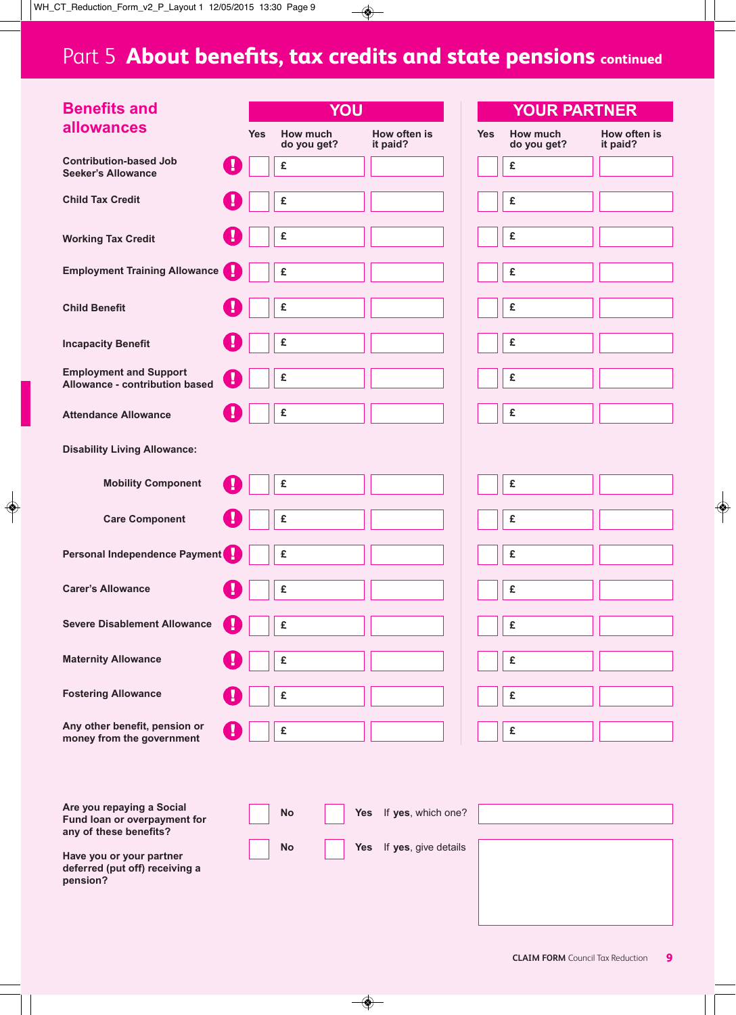# Part 5 **About benefits, tax credits and state pensions continued**

| <b>Benefits and</b>                                                                              |            | YOU                     |                                    |            | <b>YOUR PARTNER</b>     |                          |
|--------------------------------------------------------------------------------------------------|------------|-------------------------|------------------------------------|------------|-------------------------|--------------------------|
| <b>allowances</b>                                                                                | <b>Yes</b> | How much<br>do you get? | How often is<br>it paid?           | <b>Yes</b> | How much<br>do you get? | How often is<br>it paid? |
| <b>Contribution-based Job</b><br>и<br><b>Seeker's Allowance</b>                                  |            | £                       |                                    |            | £                       |                          |
| <b>Child Tax Credit</b>                                                                          |            | £                       |                                    |            | £                       |                          |
| <b>Working Tax Credit</b>                                                                        |            | £                       |                                    |            | £                       |                          |
| I<br><b>Employment Training Allowance</b>                                                        |            | £                       |                                    |            | £                       |                          |
| <b>Child Benefit</b>                                                                             |            | £                       |                                    |            | £                       |                          |
| <b>Incapacity Benefit</b>                                                                        |            | £                       |                                    |            | £                       |                          |
| <b>Employment and Support</b><br>Allowance - contribution based                                  |            | £                       |                                    |            | £                       |                          |
| <b>Attendance Allowance</b>                                                                      |            | £                       |                                    |            | £                       |                          |
| <b>Disability Living Allowance:</b>                                                              |            |                         |                                    |            |                         |                          |
| <b>Mobility Component</b>                                                                        |            | £                       |                                    |            | £                       |                          |
| <b>Care Component</b>                                                                            |            | £                       |                                    |            | £                       |                          |
| Personal Independence Payment                                                                    |            | £                       |                                    |            | £                       |                          |
| <b>Carer's Allowance</b>                                                                         |            | £                       |                                    |            | £                       |                          |
| <b>Severe Disablement Allowance</b>                                                              |            | £                       |                                    |            | £                       |                          |
| <b>Maternity Allowance</b>                                                                       |            | £                       |                                    |            | £                       |                          |
| <b>Fostering Allowance</b>                                                                       |            | £                       |                                    |            | £                       |                          |
| Any other benefit, pension or<br>и<br>money from the government                                  |            | £                       |                                    |            | £                       |                          |
|                                                                                                  |            |                         |                                    |            |                         |                          |
| Are you repaying a Social<br>Fund loan or overpayment for                                        |            | <b>No</b>               | Yes If yes, which one?             |            |                         |                          |
| any of these benefits?<br>Have you or your partner<br>deferred (put off) receiving a<br>pension? |            | <b>No</b>               | If yes, give details<br><b>Yes</b> |            |                         |                          |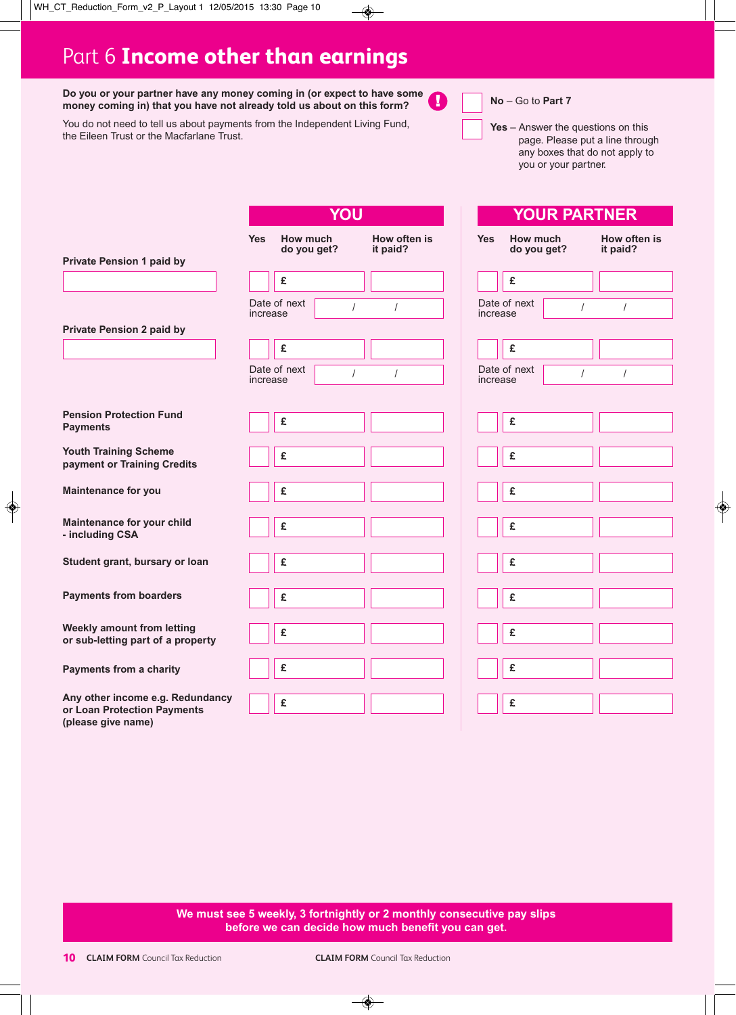### Part 6 **Income other than earnings**

**Do you or your partner have any money coming in (or expect to have some** ı **money coming in) that you have not already told us about on this form?**

You do not need to tell us about payments from the Independent Living Fund, the Eileen Trust or the Macfarlane Trust.



**No** – Go to **Part 7**

**Yes** – Answer the questions on this page. Please put a line through any boxes that do not apply to you or your partner.

**YOUR PARTNER**

|                                                                                       | YOU        |                         |   |                          |
|---------------------------------------------------------------------------------------|------------|-------------------------|---|--------------------------|
| <b>Private Pension 1 paid by</b>                                                      | <b>Yes</b> | How much<br>do you get? |   | How often is<br>it paid? |
|                                                                                       |            | £                       |   |                          |
|                                                                                       | increase   | Date of next            | I | I                        |
| <b>Private Pension 2 paid by</b>                                                      |            | £                       |   |                          |
|                                                                                       | increase   | Date of next            | I | $\overline{I}$           |
| <b>Pension Protection Fund</b><br><b>Payments</b>                                     |            | £                       |   |                          |
| <b>Youth Training Scheme</b><br>payment or Training Credits                           |            | £                       |   |                          |
| <b>Maintenance for you</b>                                                            |            | £                       |   |                          |
| Maintenance for your child<br>- including CSA                                         |            | £                       |   |                          |
| Student grant, bursary or loan                                                        |            | £                       |   |                          |
| <b>Payments from boarders</b>                                                         |            | £                       |   |                          |
| <b>Weekly amount from letting</b><br>or sub-letting part of a property                |            | £                       |   |                          |
| <b>Payments from a charity</b>                                                        |            | £                       |   |                          |
| Any other income e.g. Redundancy<br>or Loan Protection Payments<br>(please give name) |            | £                       |   |                          |

| <b>Yes</b> | How much<br>do you get? |                      | How often is<br>it paid? |  |  |
|------------|-------------------------|----------------------|--------------------------|--|--|
|            | £                       |                      |                          |  |  |
| increase   | Date of next            | $\sqrt{\phantom{a}}$ | $\overline{I}$           |  |  |
|            | £                       |                      |                          |  |  |
| increase   | Date of next            | $\overline{I}$       | $\overline{I}$           |  |  |
|            | £                       |                      |                          |  |  |
|            | £                       |                      |                          |  |  |
|            | £                       |                      |                          |  |  |
|            | £                       |                      |                          |  |  |
|            | £                       |                      |                          |  |  |
|            | £                       |                      |                          |  |  |
|            | £                       |                      |                          |  |  |
|            | £                       |                      |                          |  |  |
|            | £                       |                      |                          |  |  |

**We must see 5 weekly, 3 fortnightly or 2 monthly consecutive pay slips before we can decide how much benefit you can get.**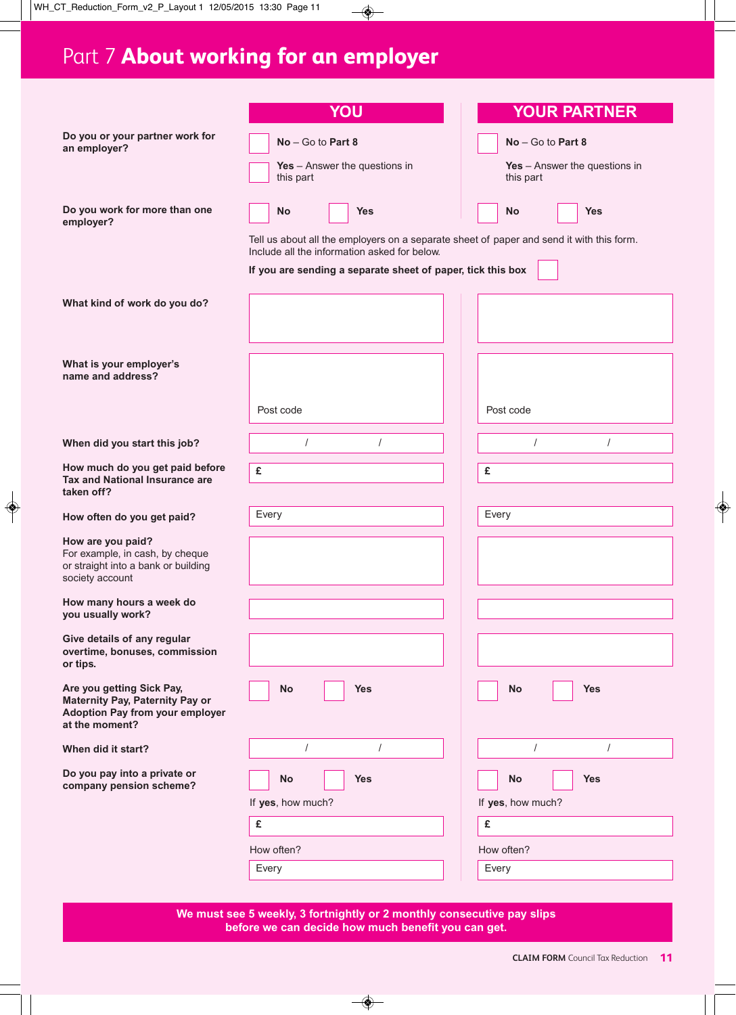# Part 7 **About working for an employer**

|                                                                                                                          | YOU                                                                                                                                      | <b>YOUR PARTNER</b>             |
|--------------------------------------------------------------------------------------------------------------------------|------------------------------------------------------------------------------------------------------------------------------------------|---------------------------------|
| Do you or your partner work for                                                                                          | $No - Go$ to Part 8                                                                                                                      | No - Go to Part 8               |
| an employer?                                                                                                             | Yes $-$ Answer the questions in                                                                                                          | Yes $-$ Answer the questions in |
|                                                                                                                          | this part                                                                                                                                | this part                       |
| Do you work for more than one<br>employer?                                                                               | No<br><b>Yes</b>                                                                                                                         | <b>No</b><br><b>Yes</b>         |
|                                                                                                                          | Tell us about all the employers on a separate sheet of paper and send it with this form.<br>Include all the information asked for below. |                                 |
|                                                                                                                          | If you are sending a separate sheet of paper, tick this box                                                                              |                                 |
| What kind of work do you do?                                                                                             |                                                                                                                                          |                                 |
|                                                                                                                          |                                                                                                                                          |                                 |
| What is your employer's<br>name and address?                                                                             |                                                                                                                                          |                                 |
|                                                                                                                          | Post code                                                                                                                                | Post code                       |
| When did you start this job?                                                                                             | $\prime$<br>$\prime$                                                                                                                     | $\prime$                        |
| How much do you get paid before<br>Tax and National Insurance are<br>taken off?                                          | £                                                                                                                                        | £                               |
| How often do you get paid?                                                                                               | Every                                                                                                                                    | Every                           |
| How are you paid?                                                                                                        |                                                                                                                                          |                                 |
| For example, in cash, by cheque<br>or straight into a bank or building<br>society account                                |                                                                                                                                          |                                 |
| How many hours a week do                                                                                                 |                                                                                                                                          |                                 |
| you usually work?                                                                                                        |                                                                                                                                          |                                 |
| Give details of any regular<br>overtime, bonuses, commission<br>or tips.                                                 |                                                                                                                                          |                                 |
| Are you getting Sick Pay,<br>Maternity Pay, Paternity Pay or<br><b>Adoption Pay from your employer</b><br>at the moment? | <b>Yes</b><br>No                                                                                                                         | No<br><b>Yes</b>                |
| When did it start?                                                                                                       | $\sqrt{2}$<br>$\prime$                                                                                                                   | $\prime$<br>$\prime$            |
| Do you pay into a private or<br>company pension scheme?                                                                  | <b>Yes</b><br><b>No</b>                                                                                                                  | <b>No</b><br><b>Yes</b>         |
|                                                                                                                          | If yes, how much?                                                                                                                        | If yes, how much?               |
|                                                                                                                          | £                                                                                                                                        | £                               |
|                                                                                                                          | How often?                                                                                                                               | How often?                      |
|                                                                                                                          | Every                                                                                                                                    | Every                           |
|                                                                                                                          |                                                                                                                                          |                                 |

**We must see 5 weekly, 3 fortnightly or 2 monthly consecutive pay slips before we can decide how much benefit you can get.**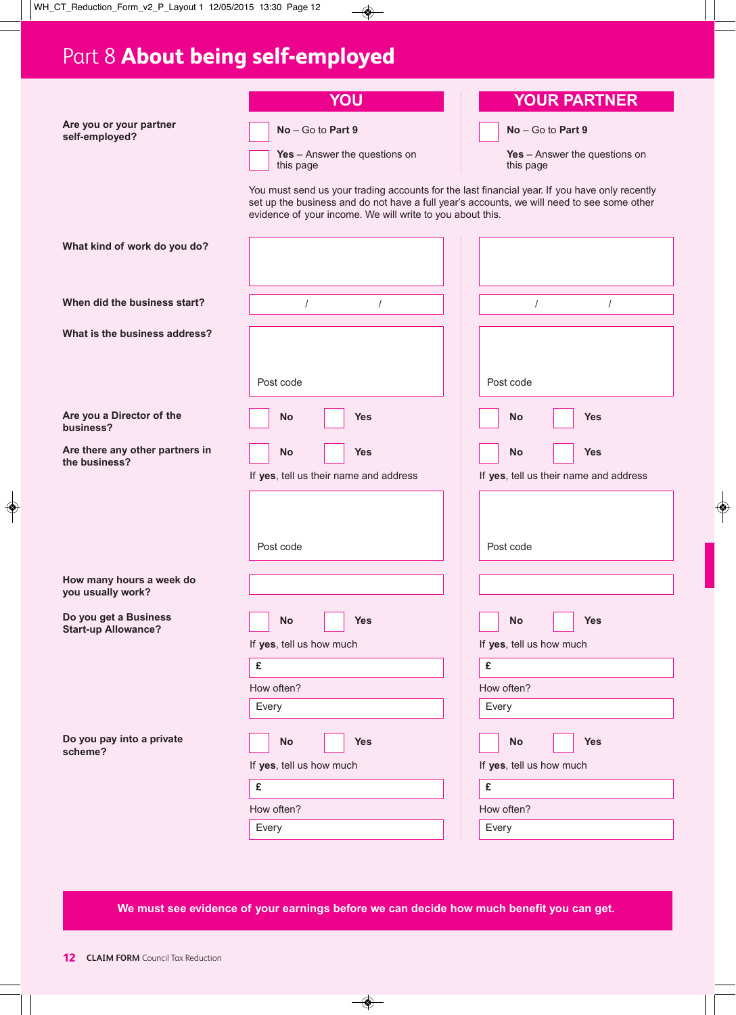# Part 8 **About being self-employed**

|                                                     | YOU                                                                                                                                                                                                                                                      | <b>YOUR PARTNER</b>                                               |
|-----------------------------------------------------|----------------------------------------------------------------------------------------------------------------------------------------------------------------------------------------------------------------------------------------------------------|-------------------------------------------------------------------|
| Are you or your partner<br>self-employed?           | No - Go to Part 9                                                                                                                                                                                                                                        | $No - Go$ to Part 9                                               |
|                                                     | Yes $-$ Answer the questions on<br>this page                                                                                                                                                                                                             | Yes $-$ Answer the questions on<br>this page                      |
|                                                     | You must send us your trading accounts for the last financial year. If you have only recently<br>set up the business and do not have a full year's accounts, we will need to see some other<br>evidence of your income. We will write to you about this. |                                                                   |
| What kind of work do you do?                        |                                                                                                                                                                                                                                                          |                                                                   |
| When did the business start?                        | $\overline{I}$<br>$\overline{I}$                                                                                                                                                                                                                         | $\sqrt{\phantom{a}}$<br>$\sqrt{2}$                                |
| What is the business address?                       |                                                                                                                                                                                                                                                          |                                                                   |
|                                                     | Post code                                                                                                                                                                                                                                                | Post code                                                         |
| Are you a Director of the<br>business?              | <b>No</b><br><b>Yes</b>                                                                                                                                                                                                                                  | <b>No</b><br><b>Yes</b>                                           |
| Are there any other partners in<br>the business?    | No<br><b>Yes</b><br>If yes, tell us their name and address                                                                                                                                                                                               | <b>Yes</b><br><b>No</b><br>If yes, tell us their name and address |
|                                                     | Post code                                                                                                                                                                                                                                                | Post code                                                         |
| How many hours a week do<br>you usually work?       |                                                                                                                                                                                                                                                          |                                                                   |
| Do you get a Business<br><b>Start-up Allowance?</b> | No<br><b>Yes</b>                                                                                                                                                                                                                                         | No<br><b>Yes</b>                                                  |
|                                                     | If yes, tell us how much                                                                                                                                                                                                                                 | If yes, tell us how much                                          |
|                                                     | £                                                                                                                                                                                                                                                        | £                                                                 |
|                                                     | How often?                                                                                                                                                                                                                                               | How often?                                                        |
|                                                     | Every                                                                                                                                                                                                                                                    | Every                                                             |
| Do you pay into a private<br>scheme?                | No<br><b>Yes</b>                                                                                                                                                                                                                                         | No<br><b>Yes</b>                                                  |
|                                                     | If yes, tell us how much                                                                                                                                                                                                                                 | If yes, tell us how much                                          |
|                                                     | £                                                                                                                                                                                                                                                        | £                                                                 |
|                                                     | How often?                                                                                                                                                                                                                                               | How often?                                                        |
|                                                     | Every                                                                                                                                                                                                                                                    | Every                                                             |
|                                                     |                                                                                                                                                                                                                                                          |                                                                   |

**We must see evidence of your earnings before we can decide how much benefit you can get.**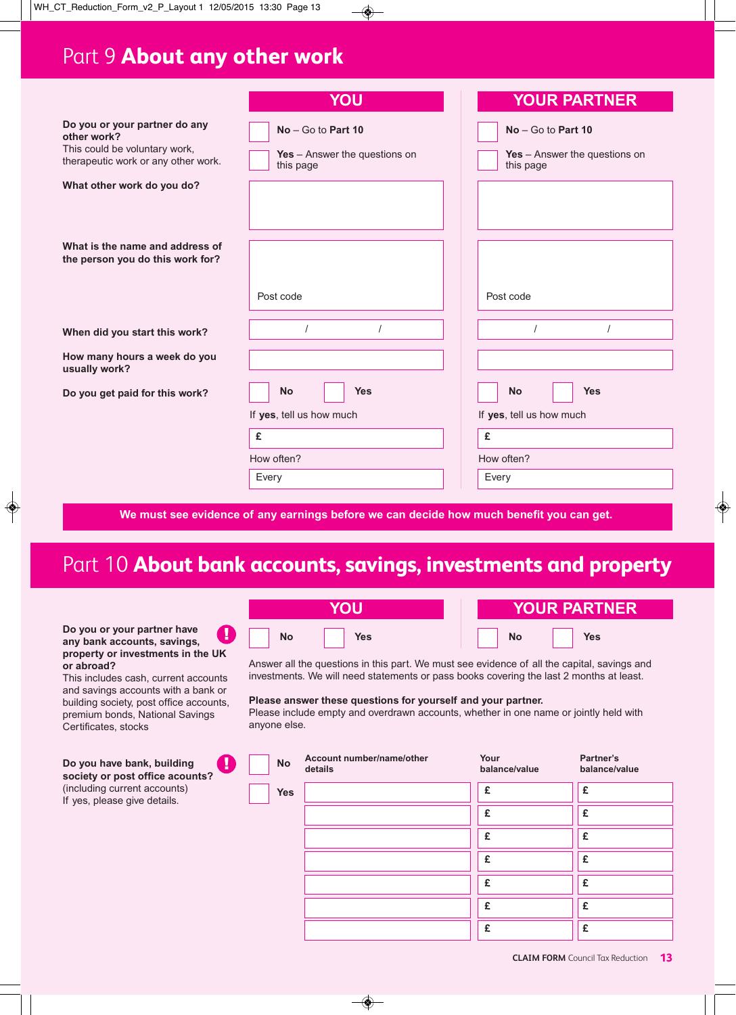### Part 9 **About any other work**

|                                                                                                                      | YOU                                                                | <b>YOUR PARTNER</b>                                                  |
|----------------------------------------------------------------------------------------------------------------------|--------------------------------------------------------------------|----------------------------------------------------------------------|
| Do you or your partner do any<br>other work?<br>This could be voluntary work,<br>therapeutic work or any other work. | $No - Go$ to Part 10<br>Yes - Answer the questions on<br>this page | $No - Go$ to Part 10<br>Yes $-$ Answer the questions on<br>this page |
| What other work do you do?                                                                                           |                                                                    |                                                                      |
| What is the name and address of<br>the person you do this work for?                                                  |                                                                    |                                                                      |
|                                                                                                                      | Post code                                                          | Post code                                                            |
| When did you start this work?                                                                                        |                                                                    |                                                                      |
| How many hours a week do you<br>usually work?                                                                        |                                                                    |                                                                      |
| Do you get paid for this work?                                                                                       | <b>Yes</b><br><b>No</b>                                            | <b>Yes</b><br><b>No</b>                                              |
|                                                                                                                      | If yes, tell us how much                                           | If yes, tell us how much                                             |
|                                                                                                                      | £                                                                  | £                                                                    |
|                                                                                                                      | How often?                                                         | How often?                                                           |
|                                                                                                                      | Every                                                              | Every                                                                |
|                                                                                                                      |                                                                    |                                                                      |

#### **We must see evidence of any earnings before we can decide how much benefit you can get.**

### Part 10 **About bank accounts, savings, investments and property**

#### **Do you or your partner have**  $\mathbf{I}$ **any bank accounts, savings, property or investments in the UK or abroad?**

This includes cash, current accounts and savings accounts with a bank or building society, post office accounts, premium bonds, National Savings Certificates, stocks

Answer all the questions in this part. We must see evidence of all the capital, savings and investments. We will need statements or pass books covering the last 2 months at least.

#### **Please answer these questions for yourself and your partner.**

Please include empty and overdrawn accounts, whether in one name or jointly held with anyone else.

**No Yes No Yes**

**YOU YOUR PARTNER**

| Do you have bank, building<br>н<br>society or post office acounts? | <b>No</b>  | Account number/name/other<br>details | Your<br>balance/value | Partner's<br>balance/value |
|--------------------------------------------------------------------|------------|--------------------------------------|-----------------------|----------------------------|
| (including current accounts)<br>If yes, please give details.       | <b>Yes</b> |                                      | £                     | £                          |
|                                                                    |            |                                      | £                     | £                          |
|                                                                    |            |                                      | £                     | £                          |
|                                                                    |            |                                      | £                     | £                          |
|                                                                    |            |                                      | £                     | £                          |
|                                                                    |            |                                      | £                     | £                          |
|                                                                    |            |                                      | £                     | £                          |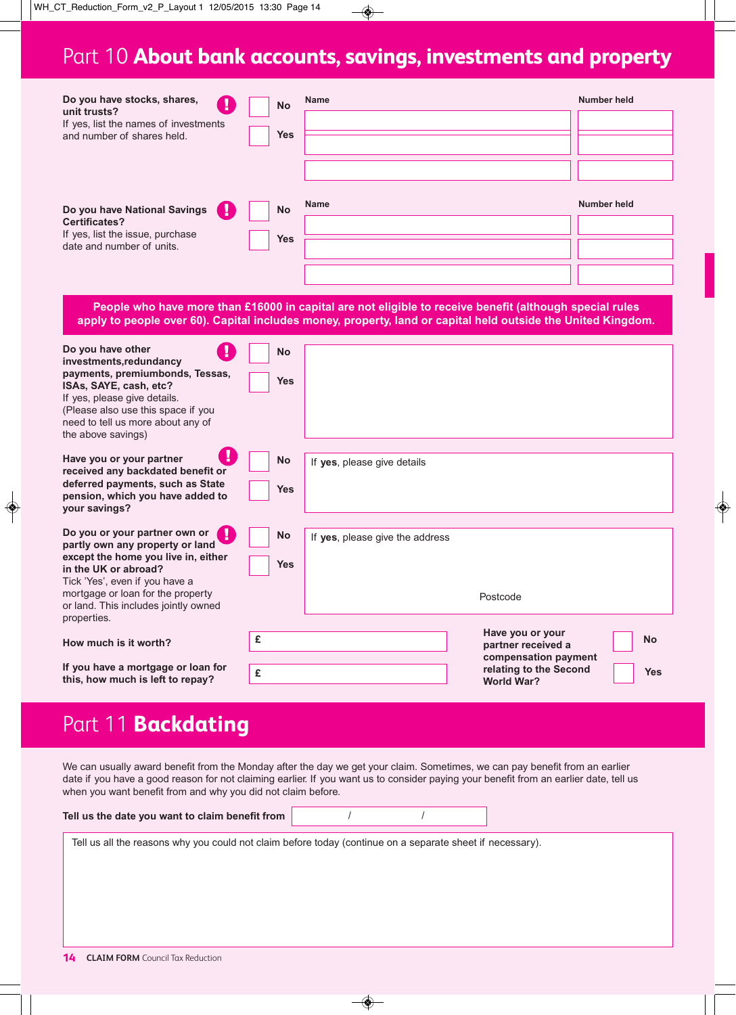### Part 10 **About bank accounts, savings, investments and property**

| Do you have stocks, shares,<br>μ<br>unit trusts?<br>If yes, list the names of investments<br>and number of shares held.      | <b>No</b><br><b>Yes</b> | <b>Name</b> | Number held |
|------------------------------------------------------------------------------------------------------------------------------|-------------------------|-------------|-------------|
| Do you have National Savings<br>C H<br><b>Certificates?</b><br>If yes, list the issue, purchase<br>date and number of units. | <b>No</b><br><b>Yes</b> | Name        | Number held |

**People who have more than £16000 in capital are not eligible to receive benefit (although special rules** apply to people over 60). Capital includes money, property, land or capital held outside the United Kingdom.

| Do you have other<br>investments, redundancy<br>payments, premiumbonds, Tessas,<br>ISAs, SAYE, cash, etc?<br>If yes, please give details.<br>(Please also use this space if you<br>need to tell us more about any of<br>the above savings)     | <b>No</b><br><b>Yes</b> |                                 |                                                                                                               |                         |
|------------------------------------------------------------------------------------------------------------------------------------------------------------------------------------------------------------------------------------------------|-------------------------|---------------------------------|---------------------------------------------------------------------------------------------------------------|-------------------------|
| Have you or your partner<br>received any backdated benefit or<br>deferred payments, such as State<br>pension, which you have added to<br>your savings?                                                                                         | <b>No</b><br><b>Yes</b> | If yes, please give details     |                                                                                                               |                         |
| Do you or your partner own or<br>partly own any property or land<br>except the home you live in, either<br>in the UK or abroad?<br>Tick 'Yes', even if you have a<br>mortgage or loan for the property<br>or land. This includes jointly owned | <b>No</b><br><b>Yes</b> | If yes, please give the address | Postcode                                                                                                      |                         |
| properties.<br>How much is it worth?<br>If you have a mortgage or loan for<br>this, how much is left to repay?                                                                                                                                 | £<br>£                  |                                 | Have you or your<br>partner received a<br>compensation payment<br>relating to the Second<br><b>World War?</b> | <b>No</b><br><b>Yes</b> |

### Part 11 **Backdating**

We can usually award benefit from the Monday after the day we get your claim. Sometimes, we can pay benefit from an earlier date if you have a good reason for not claiming earlier. If you want us to consider paying your benefit from an earlier date, tell us when you want benefit from and why you did not claim before.

| Tell us the date you want to claim benefit from |  |
|-------------------------------------------------|--|
|                                                 |  |

Tell us all the reasons why you could not claim before today (continue on a separate sheet if necessary).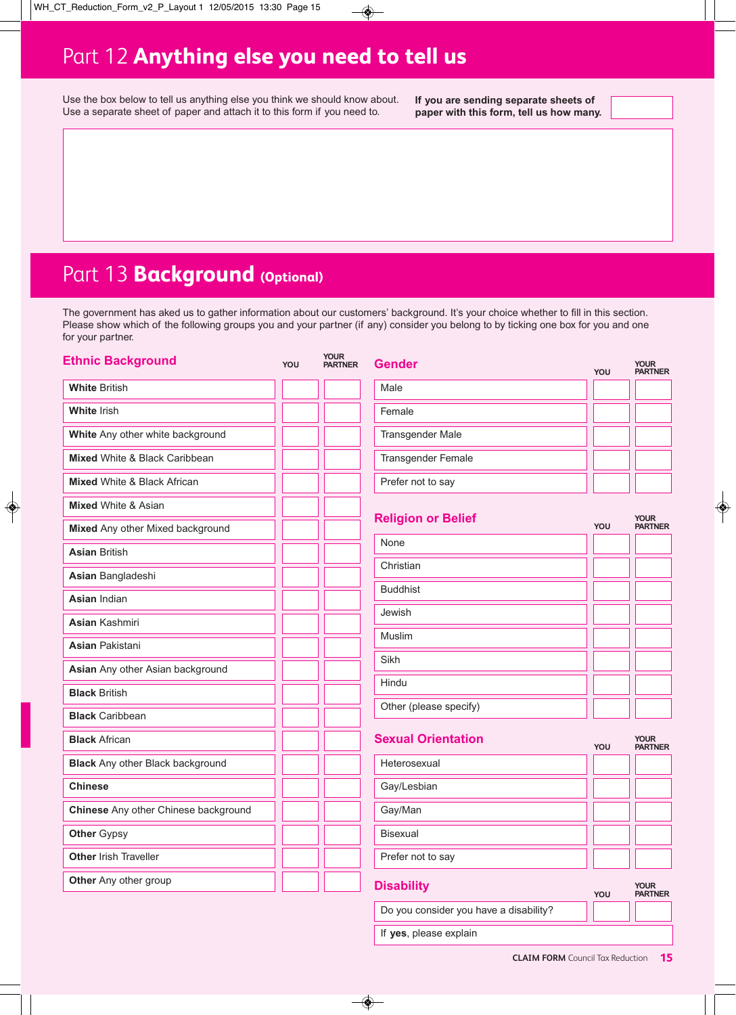### Part 12 **Anything else you need to tell us**

Use the box below to tell us anything else you think we should know about. Use a separate sheet of paper and attach it to this form if you need to.

**If you are sending separate sheets of paper with this form, tell us how many.**

### Part 13 **Background** (Optional)

The government has aked us to gather information about our customers' background. It's your choice whether to fill in this section. Please show which of the following groups you and your partner (if any) consider you belong to by ticking one box for you and one for your partner.

| <b>Ethnic Background</b>                | YOU | <b>YOUR</b><br><b>PARTNER</b> | <b>Gender</b>             | YOU | <b>YOUR</b><br><b>PARTNER</b> |
|-----------------------------------------|-----|-------------------------------|---------------------------|-----|-------------------------------|
| <b>White British</b>                    |     |                               | Male                      |     |                               |
| <b>White Irish</b>                      |     |                               | Female                    |     |                               |
| White Any other white background        |     |                               | <b>Transgender Male</b>   |     |                               |
| Mixed White & Black Caribbean           |     |                               | <b>Transgender Female</b> |     |                               |
| <b>Mixed White &amp; Black African</b>  |     |                               | Prefer not to say         |     |                               |
| <b>Mixed White &amp; Asian</b>          |     |                               |                           |     |                               |
| Mixed Any other Mixed background        |     |                               | <b>Religion or Belief</b> | YOU | <b>YOUR</b><br><b>PARTNER</b> |
| <b>Asian British</b>                    |     |                               | None                      |     |                               |
| Asian Bangladeshi                       |     |                               | Christian                 |     |                               |
| <b>Asian Indian</b>                     |     |                               | <b>Buddhist</b>           |     |                               |
| <b>Asian Kashmiri</b>                   |     |                               | Jewish                    |     |                               |
| <b>Asian Pakistani</b>                  |     |                               | Muslim                    |     |                               |
| Asian Any other Asian background        |     |                               | Sikh                      |     |                               |
| <b>Black British</b>                    |     |                               | Hindu                     |     |                               |
| <b>Black Caribbean</b>                  |     |                               | Other (please specify)    |     |                               |
| <b>Black African</b>                    |     |                               | <b>Sexual Orientation</b> | YOU | <b>YOUR</b><br><b>PARTNER</b> |
| <b>Black</b> Any other Black background |     |                               | Heterosexual              |     |                               |
| <b>Chinese</b>                          |     |                               | Gay/Lesbian               |     |                               |
| Chinese Any other Chinese background    |     |                               | Gay/Man                   |     |                               |
| <b>Other Gypsy</b>                      |     |                               | <b>Bisexual</b>           |     |                               |
| Other Irish Traveller                   |     |                               | Prefer not to say         |     |                               |
| Other Any other group                   |     |                               | <b>Disability</b>         | YOU | <b>YOUR</b><br><b>PARTNER</b> |

**CLAIM FORM** Council Tax Reduction **15**

Do you consider you have a disability?

If **yes**, please explain